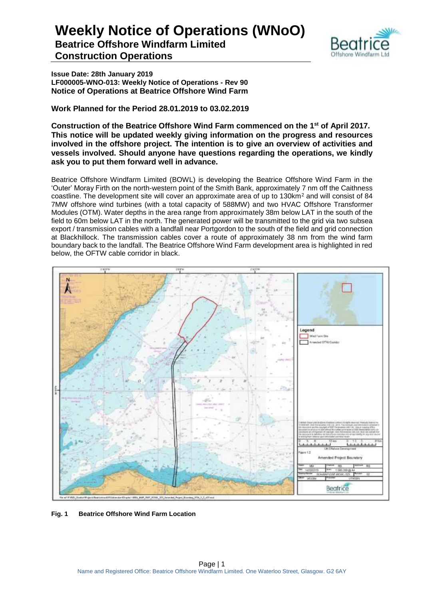

**Issue Date: 28th January 2019 LF000005-WNO-013: Weekly Notice of Operations - Rev 90 Notice of Operations at Beatrice Offshore Wind Farm**

**Work Planned for the Period 28.01.2019 to 03.02.2019**

**Construction of the Beatrice Offshore Wind Farm commenced on the 1 st of April 2017. This notice will be updated weekly giving information on the progress and resources involved in the offshore project. The intention is to give an overview of activities and vessels involved. Should anyone have questions regarding the operations, we kindly ask you to put them forward well in advance.** 

Beatrice Offshore Windfarm Limited (BOWL) is developing the Beatrice Offshore Wind Farm in the 'Outer' Moray Firth on the north-western point of the Smith Bank, approximately 7 nm off the Caithness coastline. The development site will cover an approximate area of up to 130km<sup>2</sup> and will consist of 84 7MW offshore wind turbines (with a total capacity of 588MW) and two HVAC Offshore Transformer Modules (OTM). Water depths in the area range from approximately 38m below LAT in the south of the field to 60m below LAT in the north. The generated power will be transmitted to the grid via two subsea export / transmission cables with a landfall near Portgordon to the south of the field and grid connection at Blackhillock. The transmission cables cover a route of approximately 38 nm from the wind farm boundary back to the landfall. The Beatrice Offshore Wind Farm development area is highlighted in red below, the OFTW cable corridor in black.



**Fig. 1 Beatrice Offshore Wind Farm Location**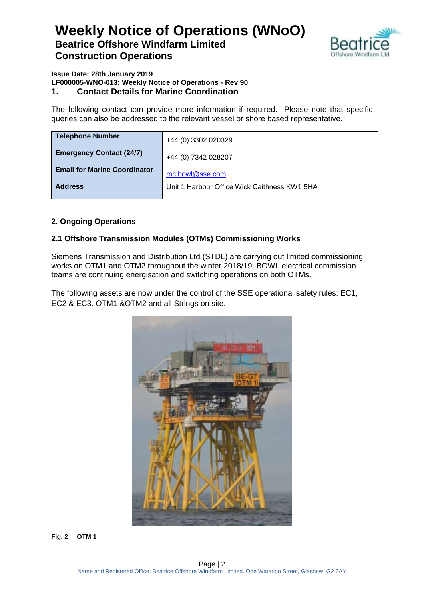

#### **Issue Date: 28th January 2019 LF000005-WNO-013: Weekly Notice of Operations - Rev 90 1. Contact Details for Marine Coordination**

The following contact can provide more information if required. Please note that specific queries can also be addressed to the relevant vessel or shore based representative.

| <b>Telephone Number</b>             | +44 (0) 3302 020329                          |
|-------------------------------------|----------------------------------------------|
| <b>Emergency Contact (24/7)</b>     | +44 (0) 7342 028207                          |
| <b>Email for Marine Coordinator</b> | mc.bowl@sse.com                              |
| <b>Address</b>                      | Unit 1 Harbour Office Wick Caithness KW1 5HA |

### **2. Ongoing Operations**

### **2.1 Offshore Transmission Modules (OTMs) Commissioning Works**

Siemens Transmission and Distribution Ltd (STDL) are carrying out limited commissioning works on OTM1 and OTM2 throughout the winter 2018/19. BOWL electrical commission teams are continuing energisation and switching operations on both OTMs.

The following assets are now under the control of the SSE operational safety rules: EC1, EC2 & EC3. OTM1 &OTM2 and all Strings on site.



**Fig. 2 OTM 1**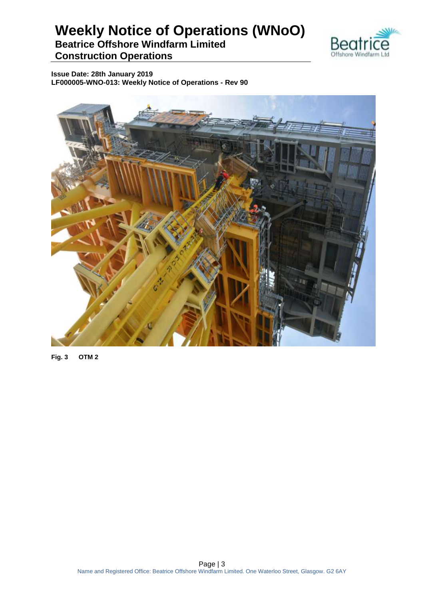

**Issue Date: 28th January 2019 LF000005-WNO-013: Weekly Notice of Operations - Rev 90**



**Fig. 3 OTM 2**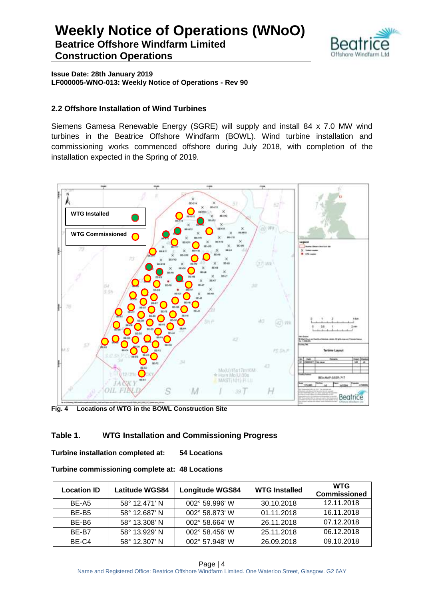

**Issue Date: 28th January 2019 LF000005-WNO-013: Weekly Notice of Operations - Rev 90**

### **2.2 Offshore Installation of Wind Turbines**

Siemens Gamesa Renewable Energy (SGRE) will supply and install 84 x 7.0 MW wind turbines in the Beatrice Offshore Windfarm (BOWL). Wind turbine installation and commissioning works commenced offshore during July 2018, with completion of the installation expected in the Spring of 2019.



**Fig. 4 Locations of WTG in the BOWL Construction Site**

### **Table 1. WTG Installation and Commissioning Progress**

**Turbine installation completed at: 54 Locations**

| Turbine commissioning complete at: 48 Locations |  |  |
|-------------------------------------------------|--|--|
|-------------------------------------------------|--|--|

| <b>Location ID</b> | <b>Latitude WGS84</b> | <b>Longitude WGS84</b> | <b>WTG Installed</b> | <b>WTG</b><br><b>Commissioned</b> |
|--------------------|-----------------------|------------------------|----------------------|-----------------------------------|
| BE-A5              | 58° 12.471' N         | 002° 59.996' W         | 30.10.2018           | 12.11.2018                        |
| BE-B <sub>5</sub>  | 58° 12.687' N         | 002° 58.873' W         | 01.11.2018           | 16.11.2018                        |
| BE-B6              | 58° 13.308' N         | 002° 58.664' W         | 26.11.2018           | 07.12.2018                        |
| RF-R7              | 58° 13.929' N         | 002° 58.456' W         | 25.11.2018           | 06.12.2018                        |
| BE-C4              | 58° 12.307' N         | 002° 57.948' W         | 26.09.2018           | 09.10.2018                        |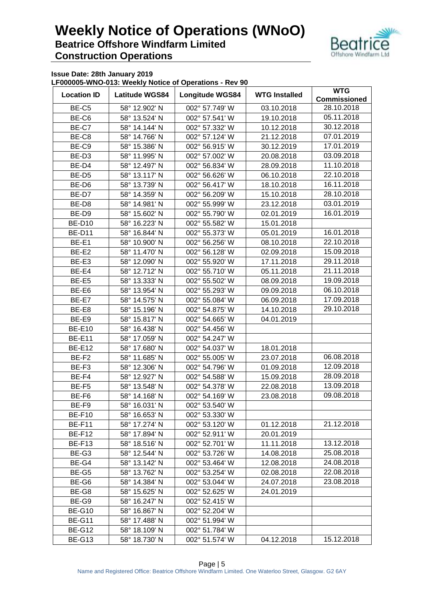

**Issue Date: 28th January 2019**

**LF000005-WNO-013: Weekly Notice of Operations - Rev 90**

| <b>Location ID</b> | <b>Latitude WGS84</b> | Longitude WGS84 | <b>WTG Installed</b>     | <b>WTG</b><br><b>Commissioned</b> |  |
|--------------------|-----------------------|-----------------|--------------------------|-----------------------------------|--|
|                    |                       | 002° 57.749' W  |                          | 28.10.2018                        |  |
| BE-C5              | 58° 12.902' N         |                 | 03.10.2018               | 05.11.2018                        |  |
| BE-C6              | 58° 13.524' N         | 002° 57.541' W  | 19.10.2018               |                                   |  |
| BE-C7              | 58° 14.144' N         | 002° 57.332' W  | 10.12.2018               | 30.12.2018                        |  |
| BE-C8              | 58° 14.766' N         | 002° 57.124' W  | 21.12.2018               | 07.01.2019                        |  |
| BE-C9              | 58° 15.386' N         | 002° 56.915' W  | 30.12.2019               | 17.01.2019                        |  |
| BE-D <sub>3</sub>  | 58° 11.995' N         | 002° 57.002' W  | 20.08.2018               | 03.09.2018                        |  |
| BE-D4              | 58° 12.497' N         | 002° 56.834' W  | 28.09.2018               | 11.10.2018                        |  |
| BE-D <sub>5</sub>  | 58° 13.117' N         | 002° 56.626' W  | 06.10.2018               | 22.10.2018                        |  |
| BE-D6              | 58° 13.739' N         | 002° 56.417' W  | 18.10.2018               | 16.11.2018                        |  |
| BE-D7              | 58° 14.359' N         | 002° 56.209' W  | 15.10.2018               | 28.10.2018                        |  |
| BE-D8              | 58° 14.981' N         | 002° 55.999' W  | 23.12.2018               | 03.01.2019                        |  |
| BE-D9              | 58° 15.602' N         | 002° 55.790' W  | 02.01.2019               | 16.01.2019                        |  |
| <b>BE-D10</b>      | 58° 16.223' N         | 002° 55.582' W  | 15.01.2018               |                                   |  |
| <b>BE-D11</b>      | 58° 16.844' N         | 002° 55.373' W  | 05.01.2019               | 16.01.2018                        |  |
| BE-E1              | 58° 10.900' N         | 002° 56.256' W  | 08.10.2018               | 22.10.2018                        |  |
| BE-E2              | 58° 11.470' N         | 002° 56.128' W  | 02.09.2018               | 15.09.2018                        |  |
| BE-E3              | 58° 12.090' N         | 002° 55.920' W  | 17.11.2018               | 29.11.2018                        |  |
| BE-E4              | 58° 12.712' N         | 002° 55.710' W  | 05.11.2018               | 21.11.2018                        |  |
| BE-E5              | 58° 13.333' N         | 002° 55.502' W  | 08.09.2018               | 19.09.2018                        |  |
| BE-E6              | 58° 13.954' N         | 002° 55.293' W  | 09.09.2018               | 06.10.2018                        |  |
| BE-E7              | 58° 14.575' N         | 002° 55.084' W  | 06.09.2018               | 17.09.2018                        |  |
| BE-E8              | 58° 15.196' N         | 002° 54.875' W  | 14.10.2018               | 29.10.2018                        |  |
| BE-E9              | 58° 15.817' N         | 002° 54.665' W  | 04.01.2019               |                                   |  |
| <b>BE-E10</b>      | 58° 16.438' N         | 002° 54.456' W  |                          |                                   |  |
| <b>BE-E11</b>      | 58° 17.059' N         | 002° 54.247' W  |                          |                                   |  |
| <b>BE-E12</b>      | 58° 17.680' N         | 002° 54.037' W  | 18.01.2018               |                                   |  |
| BE-F2              | 58° 11.685' N         | 002° 55.005' W  | 23.07.2018               | 06.08.2018                        |  |
| BE-F3              | 58° 12.306' N         | 002° 54.796' W  | 01.09.2018               | 12.09.2018                        |  |
|                    |                       |                 |                          | 28.09.2018                        |  |
| BE-F4              | 58° 12.927' N         | 002° 54.588' W  | 15.09.2018<br>22.08.2018 | 13.09.2018                        |  |
| BE-F5              | 58° 13.548' N         | 002° 54.378' W  |                          | 09.08.2018                        |  |
| BE-F6              | 58° 14.168' N         | 002° 54.169' W  | 23.08.2018               |                                   |  |
| BE-F9              | 58° 16.031' N         | 002° 53.540' W  |                          |                                   |  |
| <b>BE-F10</b>      | 58° 16.653' N         | 002° 53.330' W  |                          |                                   |  |
| BE-F11             | 58° 17.274' N         | 002° 53.120' W  | 01.12.2018               | 21.12.2018                        |  |
| <b>BE-F12</b>      | 58° 17.894' N         | 002° 52.911' W  | 20.01.2019               |                                   |  |
| <b>BE-F13</b>      | 58° 18.516' N         | 002° 52.701' W  | 11.11.2018               | 13.12.2018                        |  |
| BE-G3              | 58° 12.544' N         | 002° 53.726' W  | 14.08.2018               | 25.08.2018                        |  |
| BE-G4              | 58° 13.142' N         | 002° 53.464' W  | 12.08.2018               | 24.08.2018                        |  |
| BE-G5              | 58° 13.762' N         | 002° 53.254' W  | 02.08.2018               | 22.08.2018                        |  |
| BE-G6              | 58° 14.384' N         | 002° 53.044' W  | 24.07.2018               | 23.08.2018                        |  |
| BE-G8              | 58° 15.625' N         | 002° 52.625' W  | 24.01.2019               |                                   |  |
| BE-G9              | 58° 16.247' N         | 002° 52.415' W  |                          |                                   |  |
| <b>BE-G10</b>      | 58° 16.867' N         | 002° 52.204' W  |                          |                                   |  |
| <b>BE-G11</b>      | 58° 17.488' N         | 002° 51.994' W  |                          |                                   |  |
| <b>BE-G12</b>      | 58° 18.109' N         | 002° 51.784' W  |                          |                                   |  |
| <b>BE-G13</b>      | 58° 18.730' N         | 002° 51.574' W  | 04.12.2018               | 15.12.2018                        |  |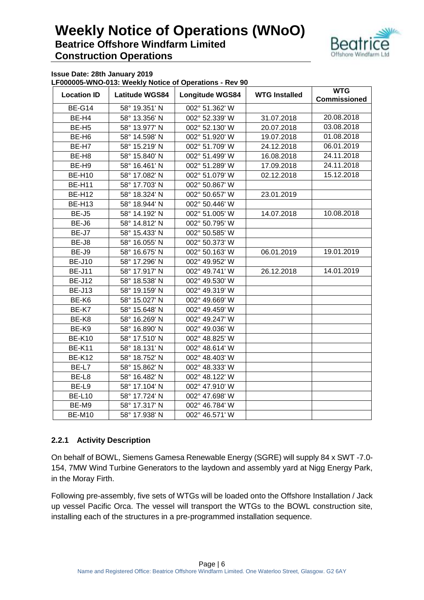

**Issue Date: 28th January 2019**

**LF000005-WNO-013: Weekly Notice of Operations - Rev 90**

| <b>Location ID</b> | <b>Latitude WGS84</b><br><b>Longitude WGS84</b> |                | <b>WTG Installed</b> | <b>WTG</b><br><b>Commissioned</b> |
|--------------------|-------------------------------------------------|----------------|----------------------|-----------------------------------|
| <b>BE-G14</b>      | 58° 19.351' N                                   | 002° 51.362' W |                      |                                   |
| BE-H4              | 58° 13.356' N                                   | 002° 52.339' W | 31.07.2018           | 20.08.2018                        |
| BE-H <sub>5</sub>  | 58° 13.977' N                                   | 002° 52.130' W | 20.07.2018           | 03.08.2018                        |
| BE-H <sub>6</sub>  | 58° 14.598' N                                   | 002° 51.920' W | 19.07.2018           | 01.08.2018                        |
| BE-H7              | 58° 15.219' N                                   | 002° 51.709' W | 24.12.2018           | 06.01.2019                        |
| BE-H <sub>8</sub>  | 58° 15.840' N                                   | 002° 51.499' W | 16.08.2018           | 24.11.2018                        |
| BE-H9              | 58° 16.461' N                                   | 002° 51.289' W | 17.09.2018           | 24.11.2018                        |
| <b>BE-H10</b>      | 58° 17.082' N                                   | 002° 51.079' W | 02.12.2018           | 15.12.2018                        |
| <b>BE-H11</b>      | 58° 17.703' N                                   | 002° 50.867' W |                      |                                   |
| <b>BE-H12</b>      | 58° 18.324' N                                   | 002° 50.657' W | 23.01.2019           |                                   |
| <b>BE-H13</b>      | 58° 18.944' N                                   | 002° 50.446' W |                      |                                   |
| BE-J5              | 58° 14.192' N                                   | 002° 51.005' W | 14.07.2018           | 10.08.2018                        |
| BE-J6              | 58° 14.812' N                                   | 002° 50.795' W |                      |                                   |
| BE-J7              | 58° 15.433' N                                   | 002° 50.585' W |                      |                                   |
| BE-J8              | 58° 16.055' N                                   | 002° 50.373' W |                      |                                   |
| BE-J9              | 58° 16.675' N                                   | 002° 50.163' W | 06.01.2019           | 19.01.2019                        |
| <b>BE-J10</b>      | 58° 17.296' N                                   | 002° 49.952' W |                      |                                   |
| <b>BE-J11</b>      | 58° 17.917' N                                   | 002° 49.741' W | 26.12.2018           | 14.01.2019                        |
| <b>BE-J12</b>      | 58° 18.538' N                                   | 002° 49.530' W |                      |                                   |
| <b>BE-J13</b>      | 58° 19.159' N                                   | 002° 49.319' W |                      |                                   |
| BE-K6              | 58° 15.027' N                                   | 002° 49.669' W |                      |                                   |
| BE-K7              | 58° 15.648' N                                   | 002° 49.459' W |                      |                                   |
| BE-K8              | 58° 16.269' N                                   | 002° 49.247' W |                      |                                   |
| BE-K9              | 58° 16.890' N                                   | 002° 49.036' W |                      |                                   |
| <b>BE-K10</b>      | 58° 17.510' N                                   | 002° 48.825' W |                      |                                   |
| <b>BE-K11</b>      | 58° 18.131' N                                   | 002° 48.614' W |                      |                                   |
| <b>BE-K12</b>      | 58° 18.752' N                                   | 002° 48.403' W |                      |                                   |
| BE-L7              | 58° 15.862' N                                   | 002° 48.333' W |                      |                                   |
| BE-L8              | 58° 16.482' N                                   | 002° 48.122' W |                      |                                   |
| BE-L9              | 58° 17.104' N                                   | 002° 47.910' W |                      |                                   |
| <b>BE-L10</b>      | 58° 17.724' N                                   | 002° 47.698' W |                      |                                   |
| BE-M9              | 58° 17.317' N                                   | 002° 46.784' W |                      |                                   |
| <b>BE-M10</b>      | 58° 17.938' N                                   | 002° 46.571' W |                      |                                   |

### **2.2.1 Activity Description**

On behalf of BOWL, Siemens Gamesa Renewable Energy (SGRE) will supply 84 x SWT -7.0- 154, 7MW Wind Turbine Generators to the laydown and assembly yard at Nigg Energy Park, in the Moray Firth.

Following pre-assembly, five sets of WTGs will be loaded onto the Offshore Installation / Jack up vessel Pacific Orca. The vessel will transport the WTGs to the BOWL construction site, installing each of the structures in a pre-programmed installation sequence.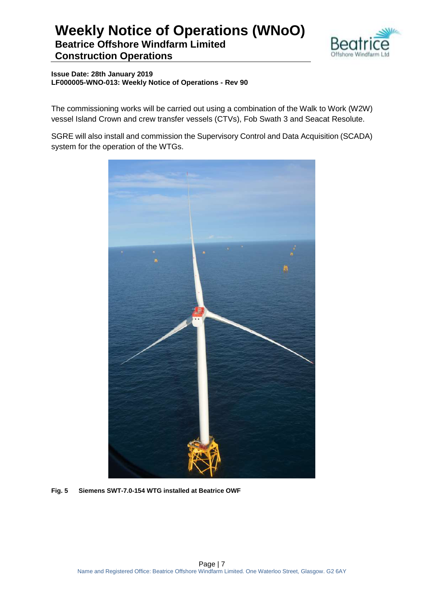

**Issue Date: 28th January 2019 LF000005-WNO-013: Weekly Notice of Operations - Rev 90**

The commissioning works will be carried out using a combination of the Walk to Work (W2W) vessel Island Crown and crew transfer vessels (CTVs), Fob Swath 3 and Seacat Resolute.

SGRE will also install and commission the Supervisory Control and Data Acquisition (SCADA) system for the operation of the WTGs.



**Fig. 5 Siemens SWT-7.0-154 WTG installed at Beatrice OWF**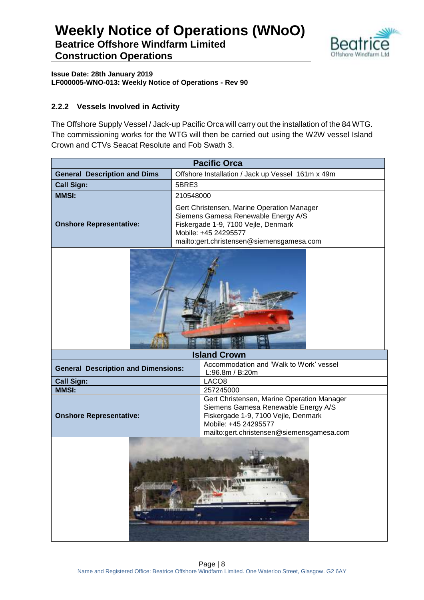

**Issue Date: 28th January 2019 LF000005-WNO-013: Weekly Notice of Operations - Rev 90**

### **2.2.2 Vessels Involved in Activity**

The Offshore Supply Vessel / Jack-up Pacific Orca will carry out the installation of the 84 WTG. The commissioning works for the WTG will then be carried out using the W2W vessel Island Crown and CTVs Seacat Resolute and Fob Swath 3.

| <b>Pacific Orca</b>                                                                                                                                                                |                                                                                                                                                                                               |  |  |  |
|------------------------------------------------------------------------------------------------------------------------------------------------------------------------------------|-----------------------------------------------------------------------------------------------------------------------------------------------------------------------------------------------|--|--|--|
| <b>General Description and Dims</b>                                                                                                                                                | Offshore Installation / Jack up Vessel 161m x 49m                                                                                                                                             |  |  |  |
| <b>Call Sign:</b>                                                                                                                                                                  | 5BRE3                                                                                                                                                                                         |  |  |  |
| <b>MMSI:</b>                                                                                                                                                                       | 210548000                                                                                                                                                                                     |  |  |  |
| <b>Onshore Representative:</b>                                                                                                                                                     | Gert Christensen, Marine Operation Manager<br>Siemens Gamesa Renewable Energy A/S<br>Fiskergade 1-9, 7100 Vejle, Denmark<br>Mobile: +45 24295577<br>mailto:gert.christensen@siemensgamesa.com |  |  |  |
|                                                                                                                                                                                    |                                                                                                                                                                                               |  |  |  |
|                                                                                                                                                                                    | <b>Island Crown</b>                                                                                                                                                                           |  |  |  |
| Accommodation and 'Walk to Work' vessel<br><b>General Description and Dimensions:</b><br>L:96.8m / B:20m                                                                           |                                                                                                                                                                                               |  |  |  |
| <b>Call Sign:</b><br>LACO <sub>8</sub>                                                                                                                                             |                                                                                                                                                                                               |  |  |  |
| <b>MMSI:</b>                                                                                                                                                                       | 257245000                                                                                                                                                                                     |  |  |  |
| Gert Christensen, Marine Operation Manager<br>Siemens Gamesa Renewable Energy A/S<br><b>Onshore Representative:</b><br>Fiskergade 1-9, 7100 Vejle, Denmark<br>Mobile: +45 24295577 |                                                                                                                                                                                               |  |  |  |
| mailto:gert.christensen@siemensgamesa.com<br><b>SANGARA AT U</b>                                                                                                                   |                                                                                                                                                                                               |  |  |  |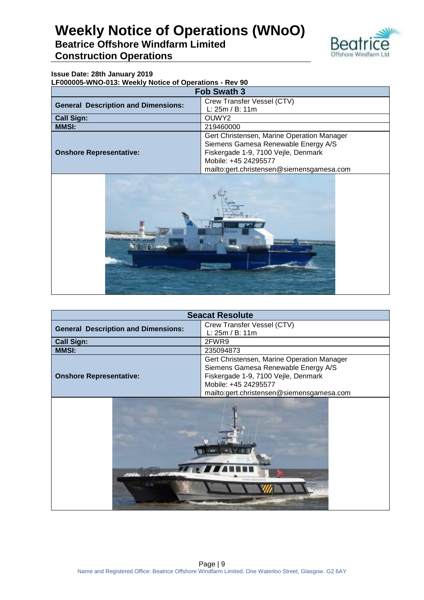

### **Issue Date: 28th January 2019**

**LF000005-WNO-013: Weekly Notice of Operations - Rev 90**

| <b>Fob Swath 3</b>                         |                                            |  |  |
|--------------------------------------------|--------------------------------------------|--|--|
| <b>General Description and Dimensions:</b> | Crew Transfer Vessel (CTV)                 |  |  |
|                                            | L: 25m / B: 11m                            |  |  |
| <b>Call Sign:</b>                          | OUWY <sub>2</sub>                          |  |  |
| <b>MMSI:</b>                               | 219460000                                  |  |  |
|                                            | Gert Christensen, Marine Operation Manager |  |  |
|                                            | Siemens Gamesa Renewable Energy A/S        |  |  |
| <b>Onshore Representative:</b>             | Fiskergade 1-9, 7100 Vejle, Denmark        |  |  |
|                                            | Mobile: +45 24295577                       |  |  |
|                                            | mailto:gert.christensen@siemensgamesa.com  |  |  |



| <b>Seacat Resolute</b>                     |                                            |  |  |
|--------------------------------------------|--------------------------------------------|--|--|
| <b>General Description and Dimensions:</b> | Crew Transfer Vessel (CTV)                 |  |  |
|                                            | L: 25m / B: 11m                            |  |  |
| <b>Call Sign:</b><br>2FWR9                 |                                            |  |  |
| <b>MMSI:</b>                               | 235094873                                  |  |  |
|                                            | Gert Christensen, Marine Operation Manager |  |  |
|                                            | Siemens Gamesa Renewable Energy A/S        |  |  |
| <b>Onshore Representative:</b>             | Fiskergade 1-9, 7100 Vejle, Denmark        |  |  |
|                                            | Mobile: +45 24295577                       |  |  |
|                                            | mailto:gert.christensen@siemensgamesa.com  |  |  |
|                                            |                                            |  |  |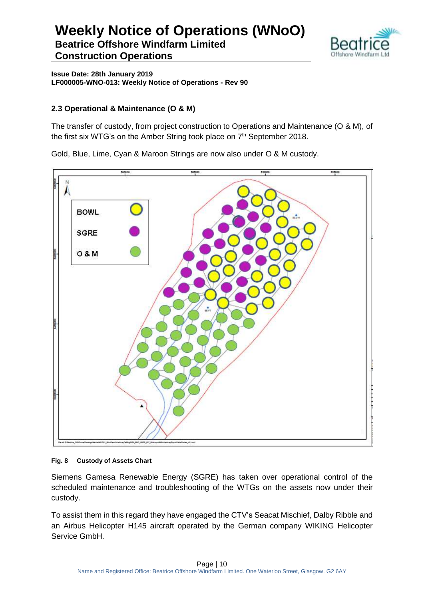

**Issue Date: 28th January 2019 LF000005-WNO-013: Weekly Notice of Operations - Rev 90**

### **2.3 Operational & Maintenance (O & M)**

The transfer of custody, from project construction to Operations and Maintenance (O & M), of the first six WTG's on the Amber String took place on 7<sup>th</sup> September 2018.

Gold, Blue, Lime, Cyan & Maroon Strings are now also under O & M custody.



#### **Fig. 8 Custody of Assets Chart**

Siemens Gamesa Renewable Energy (SGRE) has taken over operational control of the scheduled maintenance and troubleshooting of the WTGs on the assets now under their custody.

To assist them in this regard they have engaged the CTV's Seacat Mischief, Dalby Ribble and an Airbus Helicopter H145 aircraft operated by the German company WIKING Helicopter Service GmbH.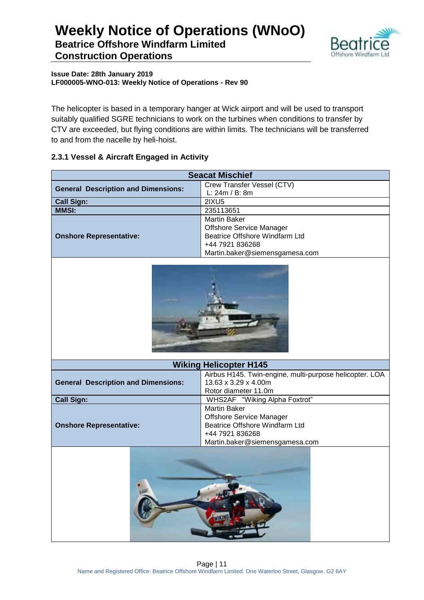

**Issue Date: 28th January 2019 LF000005-WNO-013: Weekly Notice of Operations - Rev 90**

The helicopter is based in a temporary hanger at Wick airport and will be used to transport suitably qualified SGRE technicians to work on the turbines when conditions to transfer by CTV are exceeded, but flying conditions are within limits. The technicians will be transferred to and from the nacelle by heli-hoist.

### **2.3.1 Vessel & Aircraft Engaged in Activity**

| <b>Seacat Mischief</b>                     |                                                                   |  |  |  |
|--------------------------------------------|-------------------------------------------------------------------|--|--|--|
| <b>General Description and Dimensions:</b> | Crew Transfer Vessel (CTV)                                        |  |  |  |
|                                            | L: 24m / B: 8m                                                    |  |  |  |
| <b>Call Sign:</b>                          | <b>2IXU5</b>                                                      |  |  |  |
| <b>MMSI:</b>                               | 235113651                                                         |  |  |  |
|                                            | <b>Martin Baker</b>                                               |  |  |  |
|                                            | Offshore Service Manager                                          |  |  |  |
| <b>Onshore Representative:</b>             | Beatrice Offshore Windfarm Ltd                                    |  |  |  |
|                                            | +44 7921 836268                                                   |  |  |  |
|                                            | Martin.baker@siemensgamesa.com                                    |  |  |  |
|                                            |                                                                   |  |  |  |
|                                            | <b>Wiking Helicopter H145</b>                                     |  |  |  |
|                                            | Airbus H145. Twin-engine, multi-purpose helicopter. LOA           |  |  |  |
| <b>General Description and Dimensions:</b> | 13.63 x 3.29 x 4.00m                                              |  |  |  |
|                                            | Rotor diameter 11.0m                                              |  |  |  |
| <b>Call Sign:</b>                          | WHS2AF "Wiking Alpha Foxtrot"                                     |  |  |  |
|                                            | <b>Martin Baker</b>                                               |  |  |  |
| <b>Onshore Representative:</b>             | <b>Offshore Service Manager</b><br>Beatrice Offshore Windfarm Ltd |  |  |  |
|                                            | +44 7921 836268                                                   |  |  |  |
|                                            | Martin.baker@siemensgamesa.com                                    |  |  |  |
|                                            |                                                                   |  |  |  |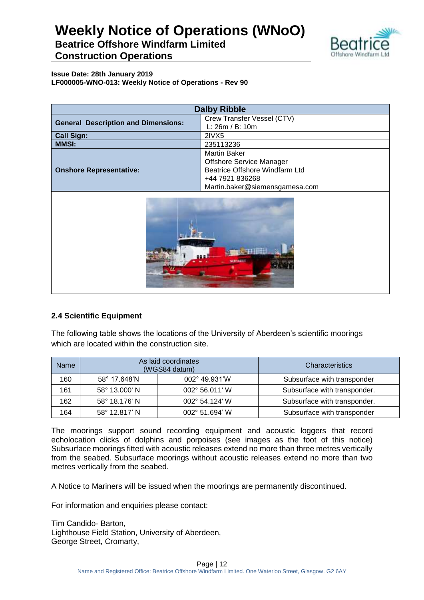

**Issue Date: 28th January 2019 LF000005-WNO-013: Weekly Notice of Operations - Rev 90**

| <b>Dalby Ribble</b>                        |                                                                                                                                               |  |  |
|--------------------------------------------|-----------------------------------------------------------------------------------------------------------------------------------------------|--|--|
| <b>General Description and Dimensions:</b> | Crew Transfer Vessel (CTV)<br>L: 26m / B: 10m                                                                                                 |  |  |
| <b>Call Sign:</b>                          | 2IVX5                                                                                                                                         |  |  |
| <b>MMSI:</b><br>235113236                  |                                                                                                                                               |  |  |
| <b>Onshore Representative:</b>             | <b>Martin Baker</b><br><b>Offshore Service Manager</b><br>Beatrice Offshore Windfarm Ltd<br>+44 7921 836268<br>Martin.baker@siemensgamesa.com |  |  |



### **2.4 Scientific Equipment**

The following table shows the locations of the University of Aberdeen's scientific moorings which are located within the construction site.

| <b>Name</b> | As laid coordinates<br>(WGS84 datum)     |  | Characteristics              |
|-------------|------------------------------------------|--|------------------------------|
| 160         | 002° 49.931'W<br>58° 17.648'N            |  | Subsurface with transponder  |
| 161         | 58° 13.000' N<br>002° 56.011' W          |  | Subsurface with transponder. |
| 162         | 58° 18.176' N<br>$002^{\circ}$ 54.124' W |  | Subsurface with transponder. |
| 164         | 58° 12.817' N<br>002° 51.694' W          |  | Subsurface with transponder  |

The moorings support sound recording equipment and acoustic loggers that record echolocation clicks of dolphins and porpoises (see images as the foot of this notice) Subsurface moorings fitted with acoustic releases extend no more than three metres vertically from the seabed. Subsurface moorings without acoustic releases extend no more than two metres vertically from the seabed.

A Notice to Mariners will be issued when the moorings are permanently discontinued.

For information and enquiries please contact:

Tim Candido- Barton, Lighthouse Field Station, University of Aberdeen, George Street, Cromarty,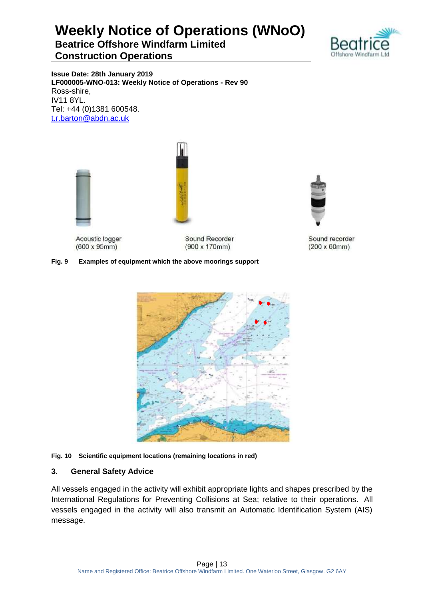# **Weekly Notice of Operations (WNoO) Beatrice Offshore Windfarm Limited**

### **Construction Operations**



**Issue Date: 28th January 2019 LF000005-WNO-013: Weekly Notice of Operations - Rev 90** Ross-shire, IV11 8YL. Tel: +44 (0)1381 600548. [t.r.barton@abdn.ac.uk](mailto:t.r.barton@abdn.ac.uk)



Acoustic logger  $(600 \times 95 \text{mm})$ 

Sound Recorder  $(900 \times 170$ mm)

### **Fig. 9 Examples of equipment which the above moorings support**



#### **Fig. 10 Scientific equipment locations (remaining locations in red)**

### **3. General Safety Advice**

All vessels engaged in the activity will exhibit appropriate lights and shapes prescribed by the International Regulations for Preventing Collisions at Sea; relative to their operations. All vessels engaged in the activity will also transmit an Automatic Identification System (AIS) message.



Sound recorder  $(200 \times 60$ mm $)$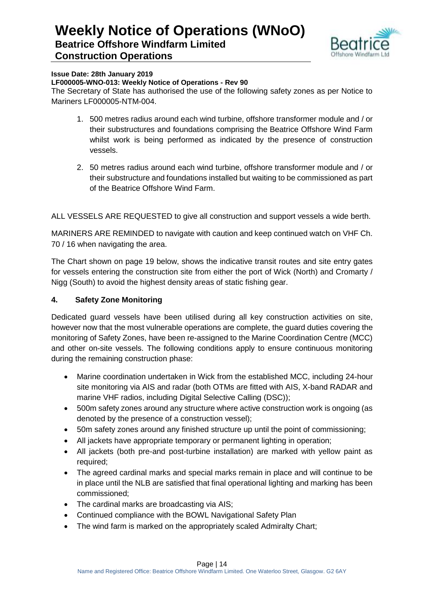

#### **Issue Date: 28th January 2019**

#### **LF000005-WNO-013: Weekly Notice of Operations - Rev 90**

The Secretary of State has authorised the use of the following safety zones as per Notice to Mariners LF000005-NTM-004.

- 1. 500 metres radius around each wind turbine, offshore transformer module and / or their substructures and foundations comprising the Beatrice Offshore Wind Farm whilst work is being performed as indicated by the presence of construction vessels.
- 2. 50 metres radius around each wind turbine, offshore transformer module and / or their substructure and foundations installed but waiting to be commissioned as part of the Beatrice Offshore Wind Farm.

ALL VESSELS ARE REQUESTED to give all construction and support vessels a wide berth.

MARINERS ARE REMINDED to navigate with caution and keep continued watch on VHF Ch. 70 / 16 when navigating the area.

The Chart shown on page 19 below, shows the indicative transit routes and site entry gates for vessels entering the construction site from either the port of Wick (North) and Cromarty / Nigg (South) to avoid the highest density areas of static fishing gear.

### **4. Safety Zone Monitoring**

Dedicated guard vessels have been utilised during all key construction activities on site, however now that the most vulnerable operations are complete, the guard duties covering the monitoring of Safety Zones, have been re-assigned to the Marine Coordination Centre (MCC) and other on-site vessels. The following conditions apply to ensure continuous monitoring during the remaining construction phase:

- Marine coordination undertaken in Wick from the established MCC, including 24-hour site monitoring via AIS and radar (both OTMs are fitted with AIS, X-band RADAR and marine VHF radios, including Digital Selective Calling (DSC));
- 500m safety zones around any structure where active construction work is ongoing (as denoted by the presence of a construction vessel);
- 50m safety zones around any finished structure up until the point of commissioning;
- All jackets have appropriate temporary or permanent lighting in operation;
- All jackets (both pre-and post-turbine installation) are marked with yellow paint as required;
- The agreed cardinal marks and special marks remain in place and will continue to be in place until the NLB are satisfied that final operational lighting and marking has been commissioned;
- The cardinal marks are broadcasting via AIS;
- Continued compliance with the BOWL Navigational Safety Plan
- The wind farm is marked on the appropriately scaled Admiralty Chart;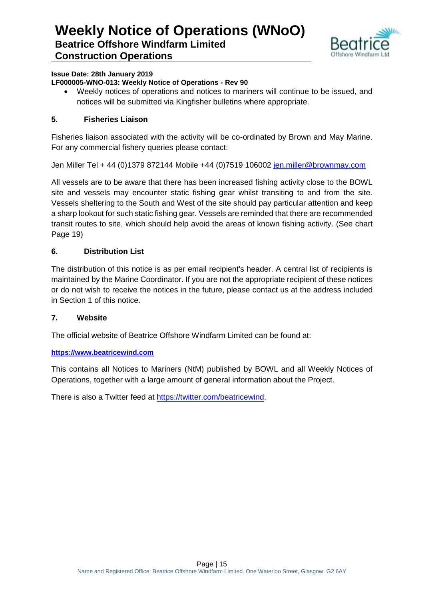

### **Issue Date: 28th January 2019**

### **LF000005-WNO-013: Weekly Notice of Operations - Rev 90**

 Weekly notices of operations and notices to mariners will continue to be issued, and notices will be submitted via Kingfisher bulletins where appropriate.

### **5. Fisheries Liaison**

Fisheries liaison associated with the activity will be co-ordinated by Brown and May Marine. For any commercial fishery queries please contact:

Jen Miller Tel + 44 (0)1379 872144 Mobile +44 (0)7519 106002 [jen.miller@brownmay.com](mailto:jen.miller@brownmay.com)

All vessels are to be aware that there has been increased fishing activity close to the BOWL site and vessels may encounter static fishing gear whilst transiting to and from the site. Vessels sheltering to the South and West of the site should pay particular attention and keep a sharp lookout for such static fishing gear. Vessels are reminded that there are recommended transit routes to site, which should help avoid the areas of known fishing activity. (See chart Page 19)

### **6. Distribution List**

The distribution of this notice is as per email recipient's header. A central list of recipients is maintained by the Marine Coordinator. If you are not the appropriate recipient of these notices or do not wish to receive the notices in the future, please contact us at the address included in Section 1 of this notice.

### **7. Website**

The official website of Beatrice Offshore Windfarm Limited can be found at:

### **[https://www.beatricewind.com](https://www.beatricewind.com/)**

This contains all Notices to Mariners (NtM) published by BOWL and all Weekly Notices of Operations, together with a large amount of general information about the Project.

There is also a Twitter feed at [https://twitter.com/beatricewind.](https://twitter.com/beatricewind)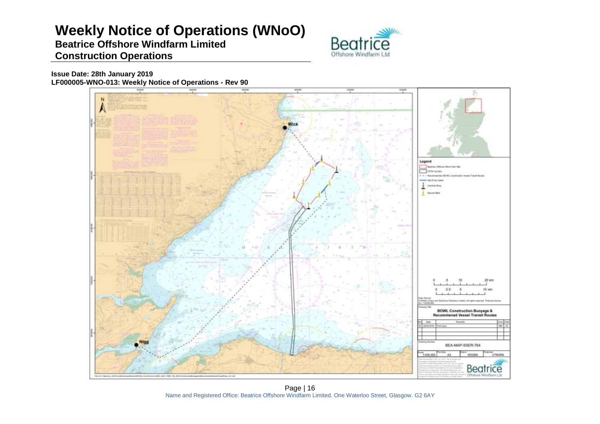# **Weekly Notice of Operations (WNoO)**

### **Beatrice Offshore Windfarm Limited Construction Operations**



**Issue Date: 28th January 2019 LF000005-WNO-013: Weekly Notice of Operations - Rev 90**



Page | 16 Name and Registered Office: Beatrice Offshore Windfarm Limited. One Waterloo Street, Glasgow. G2 6AY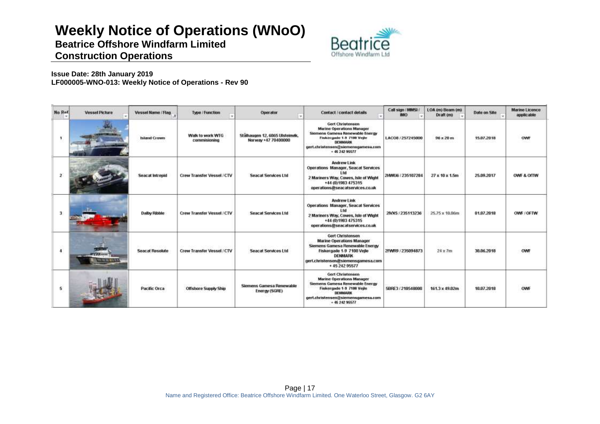# **Weekly Notice of Operations (WNoO)**

**Beatrice Offshore Windfarm Limited**



### **Construction Operations**

**Issue Date: 28th January 2019 LF000005-WNO-013: Weekly Notice of Operations - Rev 90**

| No Rof               | <b>Vessel Picture</b>         | Vessel Name / Flag.    | Type / Function                  | Operator<br><b>Sec</b>                                 | Contact / contact details                                                                                                                                                                      | Call sign (MMSL)<br><b>IMO</b> | LOA (m) Beam (m)<br>Draft (m) | Date on Site | <b>Marine Licence</b><br>applicable |
|----------------------|-------------------------------|------------------------|----------------------------------|--------------------------------------------------------|------------------------------------------------------------------------------------------------------------------------------------------------------------------------------------------------|--------------------------------|-------------------------------|--------------|-------------------------------------|
|                      |                               | <b>Island Crown</b>    | Walk to work WTG<br>commisioning | Stälhaugen 12, 6065 Ulsteinvik,<br>Norway +47 70400000 | <b>Gert Christensen</b><br><b>Marine Operations Manager</b><br>Siemens Gamese Renewable Energy<br>Fiskergade 1-9 7100 Vejle<br>DEHMARK<br>gert.christensen@siemensgamesa.com<br>$+ 4524295577$ | LACO8 / 257245000              | $96 \times 20$ m              | 15.07.2018   |                                     |
| 2                    |                               | Seacat Intrepid        | Crew Transfer Vessel / CTV       | <b>Seacat Services Ltd</b>                             | Andrew Link<br>Operations Manager, Seacat Services<br>l fri<br>2 Mariners Way, Cowes, Isle of Wight<br>+44 (0) 1983 475315<br>operations@seacatservices.co.uk                                  | 2HWU6 / 235107284              | $27 \times 10 \times 1.5m$    | 25.09.2017   | OWE & OITW                          |
| 3                    |                               | Dalby Ribble           | Crew Transfer Vessel / CTV       | <b>Seacat Services Ltd</b>                             | Andrew Link<br><b>Operations Manager, Seacat Services</b><br>l tri<br>2 Mariners Way, Cowes, Isle of Wight<br>+44 (0) 1983 475315<br>operations@seacatservices.co.uk                           | 2IVX5 / 235113236              | 25.75 x 10.06m                | 01.07.2018   | OWE COFTW                           |
| $\ddot{\phantom{a}}$ | 1111111<br><b>HE WE WELK!</b> | <b>Seacat Resolute</b> | Crew Transfer Vessel / CTV       | Seacat Services Ltd                                    | Gert Christensen<br><b>Marine Operations Manager</b><br>Siemens Gamesa Renewable Energy<br>Fiskergade 1-9 7100 Vejle<br><b>DENMARK</b><br>gert.christensen@siemensgamesa.com<br>+ 45 242 95577 | 2FWR9 / 235094873              | nzoch<br>$24 \times 7m$       | 38,86,2018   | OWF                                 |
| 5.                   |                               | Pacific Orca           | <b>Offshore Supply Ship</b>      | Siemens Gamesa Renewable<br>Energy (SGRE)              | Gert Christensen<br><b>Marine Operations Manager</b><br>Siemens Gamesa Renewable Energy<br>Fiskergade 1-9 7100 Vejle<br><b>DENMARK</b><br>gert.christensen@siemensgamesa.com<br>$+ 4624295577$ | 5BRE3 / 210548000              | 161.3 x 49.02m                | 10.07.2018   | OWF                                 |